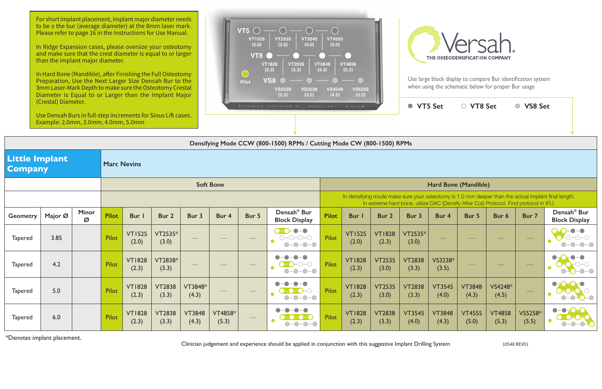|                                                               | (Crestal) Diameter.<br>Use Densah Burs in full-step increments for Sinus Lift cases.<br>Example: 2.0mm, 3.0mm, 4.0mm, 5.0mm |                   |                  |                        |                        |                        |                         |                   | Densah' Bur                                            |                      | $I \leq l$                                                                                                                                                                                  |                        | ● VT5 Set              |                        | ○ VT8 Set              |                        | ○ VS8 Set                |                                                           |  |
|---------------------------------------------------------------|-----------------------------------------------------------------------------------------------------------------------------|-------------------|------------------|------------------------|------------------------|------------------------|-------------------------|-------------------|--------------------------------------------------------|----------------------|---------------------------------------------------------------------------------------------------------------------------------------------------------------------------------------------|------------------------|------------------------|------------------------|------------------------|------------------------|--------------------------|-----------------------------------------------------------|--|
|                                                               | Densifying Mode CCW (800-1500) RPMs / Cutting Mode CW (800-1500) RPMs                                                       |                   |                  |                        |                        |                        |                         |                   |                                                        |                      |                                                                                                                                                                                             |                        |                        |                        |                        |                        |                          |                                                           |  |
| <b>Little Implant</b><br><b>Marc Nevins</b><br><b>Company</b> |                                                                                                                             |                   |                  |                        |                        |                        |                         |                   |                                                        |                      |                                                                                                                                                                                             |                        |                        |                        |                        |                        |                          |                                                           |  |
|                                                               |                                                                                                                             |                   | <b>Soft Bone</b> |                        |                        |                        |                         |                   |                                                        | Hard Bone (Mandible) |                                                                                                                                                                                             |                        |                        |                        |                        |                        |                          |                                                           |  |
|                                                               |                                                                                                                             |                   |                  |                        |                        |                        |                         |                   |                                                        |                      | In densifying mode make sure your osteotomy is 1.0 mm deeper than the actual implant final length.<br>In extreme hard bone, utilize DAC (Densify After Cut) Protocol. Find protocol in IFU. |                        |                        |                        |                        |                        |                          |                                                           |  |
| <b>Geometry</b>                                               | Major Ø                                                                                                                     | <b>Minor</b><br>Ø | <b>Pilot</b>     | Bur I                  | Bur 2                  | Bur 3                  | Bur 4                   | Bur 5             | Densah <sup>®</sup> Bur<br><b>Block Display</b>        | <b>Pilot</b>         | <b>Bur</b> I                                                                                                                                                                                | Bur 2                  | Bur 3                  | Bur 4                  | Bur 5                  | Bur 6                  | Bur 7                    | Densah <sup>®</sup> Bur<br><b>Block Display</b>           |  |
| <b>Tapered</b>                                                | 3.85                                                                                                                        |                   | <b>Pilot</b>     | <b>VT1525</b><br>(2.0) | VT2535*<br>(3.0)       |                        |                         |                   | $0 - 0 - 0 - 0$<br>$O-O-O-O$<br>$\bullet$<br>$O-O-O-O$ | Pilot                | <b>VT1525</b><br>(2.0)                                                                                                                                                                      | <b>VT1828</b><br>(2.3) | VT2535*<br>(3.0)       |                        |                        |                        | $\overline{\phantom{m}}$ |                                                           |  |
| <b>Tapered</b>                                                | 4.2                                                                                                                         |                   | Pilot            | <b>VT1828</b><br>(2.3) | VT2838*<br>(3.3)       | $\hspace{0.05cm}$      |                         | $\hspace{0.05cm}$ | $\bullet$<br>$\bullet$<br>$O-O-O-O$<br>$O-O-O-O$       | Pilot                | <b>VT1828</b><br>(2.3)                                                                                                                                                                      | <b>VT2535</b><br>(3.0) | <b>VT2838</b><br>(3.3) | VS3238*<br>(3.5)       |                        |                        | $\overline{\phantom{m}}$ | $-O$ -O                                                   |  |
| <b>Tapered</b>                                                | 5.0                                                                                                                         |                   | Pilot            | <b>VT1828</b><br>(2.3) | <b>VT2838</b><br>(3.3) | VT3848*<br>(4.3)       |                         |                   | $O-O-O-O$                                              | Pilot                | <b>VT1828</b><br>(2.3)                                                                                                                                                                      | <b>VT2535</b><br>(3.0) | <b>VT2838</b><br>(3.3) | <b>VT3545</b><br>(4.0) | <b>VT3848</b><br>(4.3) | VS4248*<br>(4.5)       |                          | $\bullet$<br>$\overline{O}$ $\overline{O}$ $\overline{O}$ |  |
| <b>Tapered</b>                                                | 6.0                                                                                                                         |                   | <b>Pilot</b>     | <b>VT1828</b><br>(2.3) | <b>VT2838</b><br>(3.3) | <b>VT3848</b><br>(4.3) | <b>VT4858*</b><br>(5.3) |                   | $\blacksquare$<br>$O-O-O-O$                            | Pilot                | <b>VT1828</b><br>(2.3)                                                                                                                                                                      | <b>VT2838</b><br>(3.3) | <b>VT3545</b><br>(4.0) | <b>VT3848</b><br>(4.3) | <b>VT4555</b><br>(5.0) | <b>VT4858</b><br>(5.3) | VS5258*<br>(5.5)         | $-\bullet$<br>$\bullet$ -0-0-<br>$\bigcirc$               |  |

\*Denotes implant placement.

Clinician judgement and experience should be applied in conjunction with this suggestive Implant Drilling System 10548 REV01

For short implant placement, implant major diameter needs to be ≤ the bur (average diameter) at the 8mm laser mark. Please refer to page 16 in the Instructions for Use Manual.

In Ridge Expansion cases, please oversize your osteotomy and make sure that the crest diameter is equal to or larger than the implant major diameter.

In Hard Bone (Mandible), after Finishing the Full Osteotomy Preparation, Use the Next Larger Size Densah Bur to the 3mm Laser-Mark Depth to make sure the Osteotomy Crestal Diameter is Equal to or Larger than the Implant Major (Crestal) Diameter.





Use large block display to compare Bur identification system when using the schematic below for proper Bur usage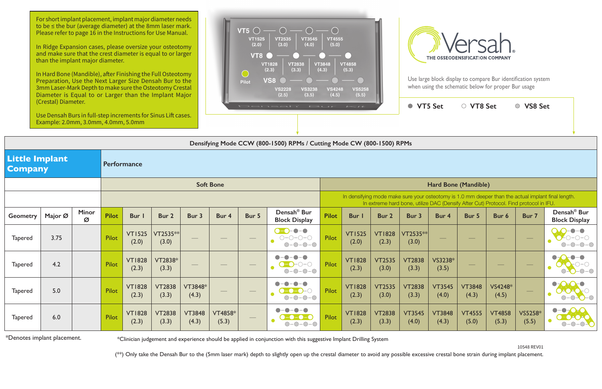For short implant placement, implant major diameter needs to be ≤ the bur (average diameter) at the 8mm laser mark. Please refer to page 16 in the Instructions for Use Manual.

In Hard Bone (Mandible), after Finishing the Full Osteotomy Preparation, Use the Next Larger Size Densah Bur to the 3mm Laser-Mark Depth to make sure the Osteotomy Crestal Diameter is Equal to or Larger than the Implant Major

| (Crestal) Diameter.<br>Use Densah Burs in full-step increments for Sinus Lift cases.<br>Example: 2.0mm, 3.0mm, 4.0mm, 5.0mm |         |                   |              |                        |                        |                        | Densah' Bur Kit  |                                   |                                                   |              |                        | ● VT5 Set<br>○ VS8 Set<br>○ VT8 Set |                        |                        |                        |                                                                                       |                          |                                                                                                    |  |
|-----------------------------------------------------------------------------------------------------------------------------|---------|-------------------|--------------|------------------------|------------------------|------------------------|------------------|-----------------------------------|---------------------------------------------------|--------------|------------------------|-------------------------------------|------------------------|------------------------|------------------------|---------------------------------------------------------------------------------------|--------------------------|----------------------------------------------------------------------------------------------------|--|
| Densifying Mode CCW (800-1500) RPMs / Cutting Mode CW (800-1500) RPMs                                                       |         |                   |              |                        |                        |                        |                  |                                   |                                                   |              |                        |                                     |                        |                        |                        |                                                                                       |                          |                                                                                                    |  |
| <b>Little Implant</b><br><b>Company</b>                                                                                     |         |                   | Performance  |                        |                        |                        |                  |                                   |                                                   |              |                        |                                     |                        |                        |                        |                                                                                       |                          |                                                                                                    |  |
|                                                                                                                             |         |                   |              | <b>Soft Bone</b>       |                        |                        |                  |                                   |                                                   |              | Hard Bone (Mandible)   |                                     |                        |                        |                        |                                                                                       |                          |                                                                                                    |  |
|                                                                                                                             |         |                   |              |                        |                        |                        |                  |                                   |                                                   |              |                        |                                     |                        |                        |                        | In extreme hard bone, utilize DAC (Densify After Cut) Protocol. Find protocol in IFU. |                          | In densifying mode make sure your osteotomy is 1.0 mm deeper than the actual implant final length. |  |
| <b>Geometry</b>                                                                                                             | Major Ø | <b>Minor</b><br>Ø | <b>Pilot</b> | Bur I                  | Bur 2                  | Bur 3                  | Bur 4            | Bur 5                             | Densah <sup>®</sup> Bur<br><b>Block Display</b>   | <b>Pilot</b> | <b>Bur</b> I           | Bur 2                               | Bur 3                  | Bur 4                  | Bur 5                  | Bur 6                                                                                 | Bur 7                    | Densah <sup>®</sup> Bur<br><b>Block Display</b>                                                    |  |
| <b>Tapered</b>                                                                                                              | 3.75    |                   | Pilot        | <b>VT1525</b><br>(2.0) | VT2535**<br>(3.0)      |                        |                  |                                   | $O-O-0-0$<br>$O-O-O-O$<br>$\bullet$<br>$O-O-O-O$  | <b>Pilot</b> | <b>VT1525</b><br>(2.0) | <b>VT1828</b><br>(2.3)              | VT2535**<br>(3.0)      |                        |                        |                                                                                       |                          | $ \bigcirc$ $ \bigcirc$                                                                            |  |
| <b>Tapered</b>                                                                                                              | 4.2     |                   | Pilot        | <b>VT1828</b><br>(2.3) | VT2838*<br>(3.3)       | $\hspace{0.05cm}$      |                  | $\overbrace{\phantom{aaaaa}}^{x}$ | $\bullet$<br><b>. A</b><br>$O-O-O-O$<br>$O-O-O-O$ | Pilot        | <b>VT1828</b><br>(2.3) | <b>VT2535</b><br>(3.0)              | <b>VT2838</b><br>(3.3) | VS3238*<br>(3.5)       |                        | $\sim$                                                                                |                          | $O-O-O$                                                                                            |  |
| <b>Tapered</b>                                                                                                              | 5.0     |                   | Pilot        | <b>VT1828</b><br>(2.3) | <b>VT2838</b><br>(3.3) | VT3848*<br>(4.3)       |                  |                                   | $O-O-O-O$                                         | Pilot        | <b>VT1828</b><br>(2.3) | <b>VT2535</b><br>(3.0)              | <b>VT2838</b><br>(3.3) | <b>VT3545</b><br>(4.0) | <b>VT3848</b><br>(4.3) | VS4248*<br>(4.5)                                                                      | $\overline{\phantom{m}}$ | $\bullet$ $\bullet$ $\bullet$<br>$-\bigcirc$                                                       |  |
| <b>Tapered</b>                                                                                                              | 6.0     |                   | Pilot        | <b>VT1828</b><br>(2.3) | <b>VT2838</b><br>(3.3) | <b>VT3848</b><br>(4.3) | VT4858*<br>(5.3) |                                   | $\bullet$ -<br>$O-O-O-O$                          | Pilot        | <b>VT1828</b><br>(2.3) | <b>VT2838</b><br>(3.3)              | <b>VT3545</b><br>(4.0) | <b>VT3848</b><br>(4.3) | <b>VT4555</b><br>(5.0) | <b>VT4858</b><br>(5.3)                                                                | VS5258*<br>(5.5)         | $-\Omega$<br>$\bullet$<br>$D = 0$ $A$ $O$<br>$\bigcirc$<br><b>C-0-0-</b>                           |  |

\*Denotes implant placement. **\***Clinician judgement and experience should be applied in conjunction with this suggestive Implant Drilling System

(\*\*) Only take the Densah Bur to the (5mm laser mark) depth to slightly open up the crestal diameter to avoid any possible excessive crestal bone strain during implant placement.

10548 REV01

In Ridge Expansion cases, please oversize your osteotomy and make sure that the crest diameter is equal to or larger than the implant major diameter.





Use large block display to compare Bur identification system when using the schematic below for proper Bur usage